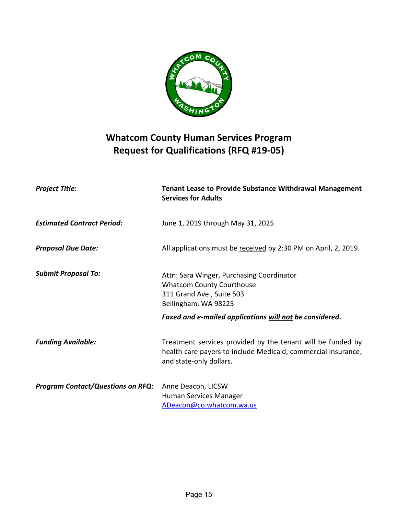

# **Whatcom County Human Services Program Request for Qualifications (RFQ #19-05)**

| <b>Project Title:</b>                    | <b>Tenant Lease to Provide Substance Withdrawal Management</b><br><b>Services for Adults</b>                                                            |
|------------------------------------------|---------------------------------------------------------------------------------------------------------------------------------------------------------|
| <b>Estimated Contract Period:</b>        | June 1, 2019 through May 31, 2025                                                                                                                       |
| <b>Proposal Due Date:</b>                | All applications must be received by 2:30 PM on April, 2, 2019.                                                                                         |
| <b>Submit Proposal To:</b>               | Attn: Sara Winger, Purchasing Coordinator<br><b>Whatcom County Courthouse</b><br>311 Grand Ave., Suite 503<br>Bellingham, WA 98225                      |
|                                          | Faxed and e-mailed applications will not be considered.                                                                                                 |
| <b>Funding Available:</b>                | Treatment services provided by the tenant will be funded by<br>health care payers to include Medicaid, commercial insurance,<br>and state-only dollars. |
| <b>Program Contact/Questions on RFQ:</b> | Anne Deacon, LICSW<br>Human Services Manager<br>ADeacon@co.whatcom.wa.us                                                                                |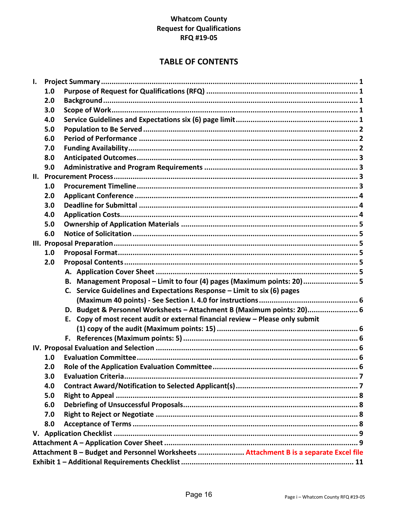## **Whatcom County Request for Qualifications RFQ #19-05**

## **TABLE OF CONTENTS**

| I. |                  |                                                                                       |  |
|----|------------------|---------------------------------------------------------------------------------------|--|
|    | 1.0              |                                                                                       |  |
|    | 2.0              |                                                                                       |  |
|    | 3.0              |                                                                                       |  |
|    | 4.0              |                                                                                       |  |
|    | 5.0              |                                                                                       |  |
|    | 6.0              |                                                                                       |  |
|    | 7.0              |                                                                                       |  |
|    | 8.0              |                                                                                       |  |
|    | 9.0              |                                                                                       |  |
|    |                  |                                                                                       |  |
|    | 1.0              |                                                                                       |  |
|    | 2.0              |                                                                                       |  |
|    | 3.0              |                                                                                       |  |
|    | 4.0              |                                                                                       |  |
|    | 5.0              |                                                                                       |  |
|    | 6.0              |                                                                                       |  |
|    |                  |                                                                                       |  |
|    | 1.0              |                                                                                       |  |
|    | 2.0              |                                                                                       |  |
|    |                  |                                                                                       |  |
|    |                  | B. Management Proposal - Limit to four (4) pages (Maximum points: 20)  5              |  |
|    |                  | C. Service Guidelines and Expectations Response - Limit to six (6) pages              |  |
|    |                  |                                                                                       |  |
|    |                  | D. Budget & Personnel Worksheets - Attachment B (Maximum points: 20) 6                |  |
|    |                  | E. Copy of most recent audit or external financial review - Please only submit        |  |
|    |                  |                                                                                       |  |
|    |                  |                                                                                       |  |
|    |                  |                                                                                       |  |
|    | 1.0              |                                                                                       |  |
|    | 2.0 <sub>2</sub> |                                                                                       |  |
|    | 3.0              |                                                                                       |  |
|    | 4.0              |                                                                                       |  |
|    | 5.0              |                                                                                       |  |
|    | 6.0              |                                                                                       |  |
|    | 7.0              |                                                                                       |  |
|    | 8.0              |                                                                                       |  |
|    |                  |                                                                                       |  |
|    |                  |                                                                                       |  |
|    |                  | Attachment B - Budget and Personnel Worksheets  Attachment B is a separate Excel file |  |
|    |                  |                                                                                       |  |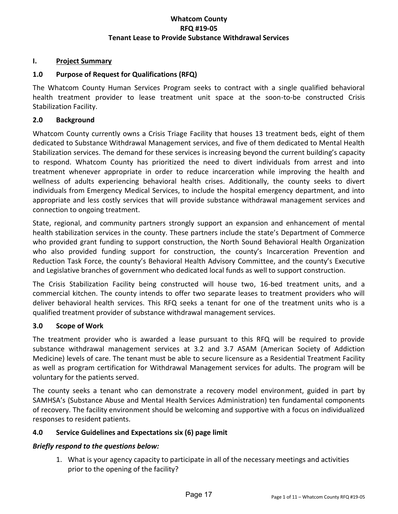#### <span id="page-2-0"></span>**I. Project Summary**

### <span id="page-2-1"></span>**1.0 Purpose of Request for Qualifications (RFQ)**

The Whatcom County Human Services Program seeks to contract with a single qualified behavioral health treatment provider to lease treatment unit space at the soon-to-be constructed Crisis Stabilization Facility.

#### <span id="page-2-2"></span>**2.0 Background**

Whatcom County currently owns a Crisis Triage Facility that houses 13 treatment beds, eight of them dedicated to Substance Withdrawal Management services, and five of them dedicated to Mental Health Stabilization services. The demand for these services is increasing beyond the current building's capacity to respond. Whatcom County has prioritized the need to divert individuals from arrest and into treatment whenever appropriate in order to reduce incarceration while improving the health and wellness of adults experiencing behavioral health crises. Additionally, the county seeks to divert individuals from Emergency Medical Services, to include the hospital emergency department, and into appropriate and less costly services that will provide substance withdrawal management services and connection to ongoing treatment.

State, regional, and community partners strongly support an expansion and enhancement of mental health stabilization services in the county. These partners include the state's Department of Commerce who provided grant funding to support construction, the North Sound Behavioral Health Organization who also provided funding support for construction, the county's Incarceration Prevention and Reduction Task Force, the county's Behavioral Health Advisory Committee, and the county's Executive and Legislative branches of government who dedicated local funds as well to support construction.

The Crisis Stabilization Facility being constructed will house two, 16-bed treatment units, and a commercial kitchen. The county intends to offer two separate leases to treatment providers who will deliver behavioral health services. This RFQ seeks a tenant for one of the treatment units who is a qualified treatment provider of substance withdrawal management services.

#### <span id="page-2-3"></span>**3.0 Scope of Work**

The treatment provider who is awarded a lease pursuant to this RFQ will be required to provide substance withdrawal management services at 3.2 and 3.7 ASAM (American Society of Addiction Medicine) levels of care. The tenant must be able to secure licensure as a Residential Treatment Facility as well as program certification for Withdrawal Management services for adults. The program will be voluntary for the patients served.

The county seeks a tenant who can demonstrate a recovery model environment, guided in part by SAMHSA's (Substance Abuse and Mental Health Services Administration) ten fundamental components of recovery. The facility environment should be welcoming and supportive with a focus on individualized responses to resident patients.

#### <span id="page-2-4"></span>**4.0 Service Guidelines and Expectations six (6) page limit**

#### *Briefly respond to the questions below:*

1. What is your agency capacity to participate in all of the necessary meetings and activities prior to the opening of the facility?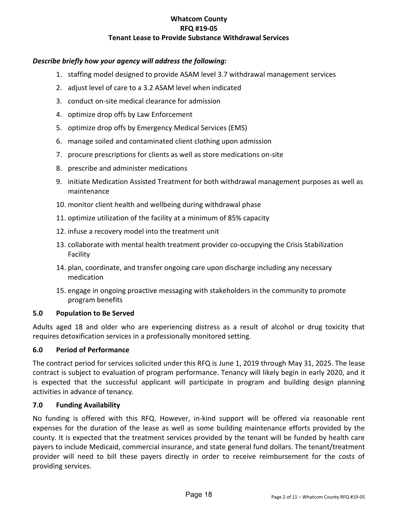## *Describe briefly how your agency will address the following:*

- 1. staffing model designed to provide ASAM level 3.7 withdrawal management services
- 2. adjust level of care to a 3.2 ASAM level when indicated
- 3. conduct on-site medical clearance for admission
- 4. optimize drop offs by Law Enforcement
- 5. optimize drop offs by Emergency Medical Services (EMS)
- 6. manage soiled and contaminated client clothing upon admission
- 7. procure prescriptions for clients as well as store medications on-site
- 8. prescribe and administer medications
- 9. initiate Medication Assisted Treatment for both withdrawal management purposes as well as maintenance
- 10. monitor client health and wellbeing during withdrawal phase
- 11. optimize utilization of the facility at a minimum of 85% capacity
- 12. infuse a recovery model into the treatment unit
- 13. collaborate with mental health treatment provider co-occupying the Crisis Stabilization Facility
- 14. plan, coordinate, and transfer ongoing care upon discharge including any necessary medication
- 15. engage in ongoing proactive messaging with stakeholders in the community to promote program benefits

#### <span id="page-3-0"></span>**5.0 Population to Be Served**

Adults aged 18 and older who are experiencing distress as a result of alcohol or drug toxicity that requires detoxification services in a professionally monitored setting.

#### <span id="page-3-1"></span>**6.0 Period of Performance**

The contract period for services solicited under this RFQ is June 1, 2019 through May 31, 2025. The lease contract is subject to evaluation of program performance. Tenancy will likely begin in early 2020, and it is expected that the successful applicant will participate in program and building design planning activities in advance of tenancy.

#### <span id="page-3-2"></span>**7.0 Funding Availability**

No funding is offered with this RFQ. However, in-kind support will be offered via reasonable rent expenses for the duration of the lease as well as some building maintenance efforts provided by the county. It is expected that the treatment services provided by the tenant will be funded by health care payers to include Medicaid, commercial insurance, and state general fund dollars. The tenant/treatment provider will need to bill these payers directly in order to receive reimbursement for the costs of providing services.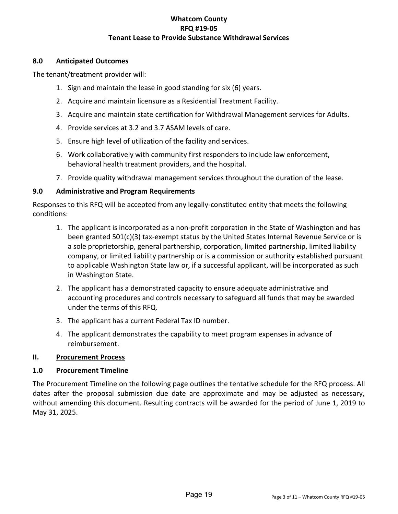#### <span id="page-4-0"></span>**8.0 Anticipated Outcomes**

The tenant/treatment provider will:

- 1. Sign and maintain the lease in good standing for six (6) years.
- 2. Acquire and maintain licensure as a Residential Treatment Facility.
- 3. Acquire and maintain state certification for Withdrawal Management services for Adults.
- 4. Provide services at 3.2 and 3.7 ASAM levels of care.
- 5. Ensure high level of utilization of the facility and services.
- 6. Work collaboratively with community first responders to include law enforcement, behavioral health treatment providers, and the hospital.
- 7. Provide quality withdrawal management services throughout the duration of the lease.

## <span id="page-4-1"></span>**9.0 Administrative and Program Requirements**

Responses to this RFQ will be accepted from any legally-constituted entity that meets the following conditions:

- 1. The applicant is incorporated as a non-profit corporation in the State of Washington and has been granted 501(c)(3) tax-exempt status by the United States Internal Revenue Service or is a sole proprietorship, general partnership, corporation, limited partnership, limited liability company, or limited liability partnership or is a commission or authority established pursuant to applicable Washington State law or, if a successful applicant, will be incorporated as such in Washington State.
- 2. The applicant has a demonstrated capacity to ensure adequate administrative and accounting procedures and controls necessary to safeguard all funds that may be awarded under the terms of this RFQ.
- 3. The applicant has a current Federal Tax ID number.
- 4. The applicant demonstrates the capability to meet program expenses in advance of reimbursement.

## <span id="page-4-2"></span>**II. Procurement Process**

## <span id="page-4-3"></span>**1.0 Procurement Timeline**

The Procurement Timeline on the following page outlines the tentative schedule for the RFQ process. All dates after the proposal submission due date are approximate and may be adjusted as necessary, without amending this document. Resulting contracts will be awarded for the period of June 1, 2019 to May 31, 2025.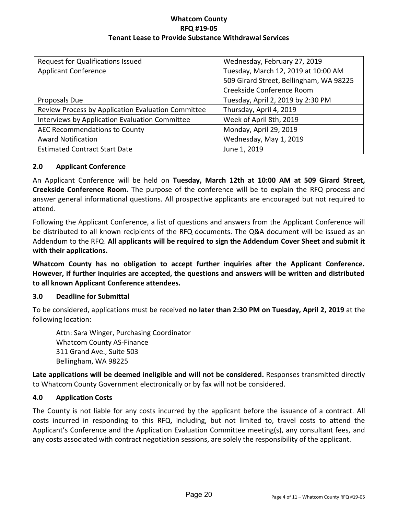| <b>Request for Qualifications Issued</b>           | Wednesday, February 27, 2019            |  |  |
|----------------------------------------------------|-----------------------------------------|--|--|
| <b>Applicant Conference</b>                        | Tuesday, March 12, 2019 at 10:00 AM     |  |  |
|                                                    | 509 Girard Street, Bellingham, WA 98225 |  |  |
|                                                    | Creekside Conference Room               |  |  |
| Proposals Due                                      | Tuesday, April 2, 2019 by 2:30 PM       |  |  |
| Review Process by Application Evaluation Committee | Thursday, April 4, 2019                 |  |  |
| Interviews by Application Evaluation Committee     | Week of April 8th, 2019                 |  |  |
| AEC Recommendations to County                      | Monday, April 29, 2019                  |  |  |
| <b>Award Notification</b>                          | Wednesday, May 1, 2019                  |  |  |
| <b>Estimated Contract Start Date</b>               | June 1, 2019                            |  |  |

#### <span id="page-5-0"></span>**2.0 Applicant Conference**

An Applicant Conference will be held on **Tuesday, March 12th at 10:00 AM at 509 Girard Street, Creekside Conference Room.** The purpose of the conference will be to explain the RFQ process and answer general informational questions. All prospective applicants are encouraged but not required to attend.

Following the Applicant Conference, a list of questions and answers from the Applicant Conference will be distributed to all known recipients of the RFQ documents. The Q&A document will be issued as an Addendum to the RFQ. **All applicants will be required to sign the Addendum Cover Sheet and submit it with their applications.**

**Whatcom County has no obligation to accept further inquiries after the Applicant Conference. However, if further inquiries are accepted, the questions and answers will be written and distributed to all known Applicant Conference attendees.** 

#### <span id="page-5-1"></span>**3.0 Deadline for Submittal**

To be considered, applications must be received **no later than 2:30 PM on Tuesday, April 2, 2019** at the following location:

 Attn: Sara Winger, Purchasing Coordinator Whatcom County AS-Finance 311 Grand Ave., Suite 503 Bellingham, WA 98225

**Late applications will be deemed ineligible and will not be considered.** Responses transmitted directly to Whatcom County Government electronically or by fax will not be considered.

#### <span id="page-5-2"></span>**4.0 Application Costs**

The County is not liable for any costs incurred by the applicant before the issuance of a contract. All costs incurred in responding to this RFQ, including, but not limited to, travel costs to attend the Applicant's Conference and the Application Evaluation Committee meeting(s), any consultant fees, and any costs associated with contract negotiation sessions, are solely the responsibility of the applicant.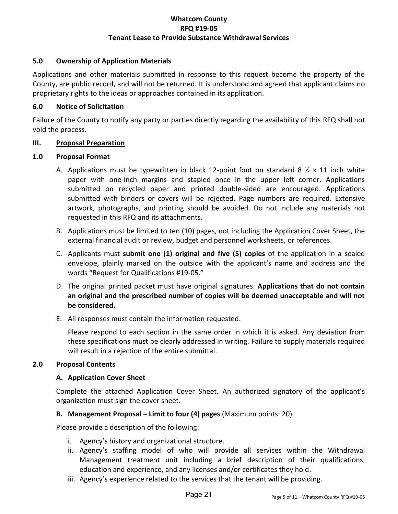## <span id="page-6-0"></span>**5.0 Ownership of Application Materials**

Applications and other materials submitted in response to this request become the property of the County, are public record, and will not be returned. It is understood and agreed that applicant claims no proprietary rights to the ideas or approaches contained in its application.

#### <span id="page-6-1"></span>**6.0 Notice of Solicitation**

Failure of the County to notify any party or parties directly regarding the availability of this RFQ shall not void the process.

#### <span id="page-6-2"></span>**III. Proposal Preparation**

#### <span id="page-6-3"></span>**1.0 Proposal Format**

- A. Applications must be typewritten in black 12-point font on standard 8  $\frac{1}{2}$  x 11 inch white paper with one-inch margins and stapled once in the upper left corner. Applications submitted on recycled paper and printed double-sided are encouraged. Applications submitted with binders or covers will be rejected. Page numbers are required. Extensive artwork, photographs, and printing should be avoided. Do not include any materials not requested in this RFQ and its attachments.
- B. Applications must be limited to ten (10) pages, not including the Application Cover Sheet, the external financial audit or review, budget and personnel worksheets, or references.
- C. Applicants must **submit one (1) original and five (5) copies** of the application in a sealed envelope, plainly marked on the outside with the applicant's name and address and the words "Request for Qualifications #19-05."
- D. The original printed packet must have original signatures. **Applications that do not contain an original and the prescribed number of copies will be deemed unacceptable and will not be considered.**
- E. All responses must contain the information requested.

Please respond to each section in the same order in which it is asked. Any deviation from these specifications must be clearly addressed in writing. Failure to supply materials required will result in a rejection of the entire submittal.

#### <span id="page-6-5"></span><span id="page-6-4"></span>**2.0 Proposal Contents**

#### **A. Application Cover Sheet**

Complete the attached Application Cover Sheet. An authorized signatory of the applicant's organization must sign the cover sheet.

#### <span id="page-6-6"></span>**B. Management Proposal – Limit to four (4) pages** (Maximum points: 20)

Please provide a description of the following:

- i. Agency's history and organizational structure.
- ii. Agency's staffing model of who will provide all services within the Withdrawal Management treatment unit including a brief description of their qualifications, education and experience, and any licenses and/or certificates they hold.
- iii. Agency's experience related to the services that the tenant will be providing.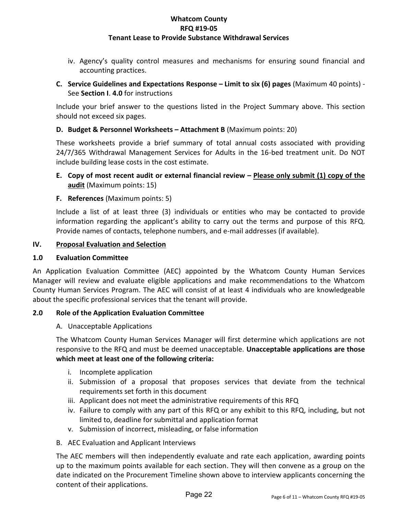iv. Agency's quality control measures and mechanisms for ensuring sound financial and accounting practices.

## <span id="page-7-0"></span>**C. Service Guidelines and Expectations Response – Limit to six (6) pages** (Maximum 40 points) - See **Section I**. **4.0** for instructions

Include your brief answer to the questions listed in the Project Summary above. This section should not exceed six pages.

## <span id="page-7-1"></span>**D. Budget & Personnel Worksheets – Attachment B** (Maximum points: 20)

These worksheets provide a brief summary of total annual costs associated with providing 24/7/365 Withdrawal Management Services for Adults in the 16-bed treatment unit. Do NOT include building lease costs in the cost estimate.

## <span id="page-7-2"></span>**E. Copy of most recent audit or external financial review – Please only submit (1) copy of the audit** (Maximum points: 15)

## <span id="page-7-3"></span>**F. References** (Maximum points: 5)

Include a list of at least three (3) individuals or entities who may be contacted to provide information regarding the applicant's ability to carry out the terms and purpose of this RFQ. Provide names of contacts, telephone numbers, and e-mail addresses (if available).

#### <span id="page-7-4"></span>**IV. Proposal Evaluation and Selection**

#### <span id="page-7-5"></span>**1.0 Evaluation Committee**

An Application Evaluation Committee (AEC) appointed by the Whatcom County Human Services Manager will review and evaluate eligible applications and make recommendations to the Whatcom County Human Services Program. The AEC will consist of at least 4 individuals who are knowledgeable about the specific professional services that the tenant will provide.

#### <span id="page-7-6"></span>**2.0 Role of the Application Evaluation Committee**

#### A. Unacceptable Applications

The Whatcom County Human Services Manager will first determine which applications are not responsive to the RFQ and must be deemed unacceptable. **Unacceptable applications are those which meet at least one of the following criteria:** 

- i. Incomplete application
- ii. Submission of a proposal that proposes services that deviate from the technical requirements set forth in this document
- iii. Applicant does not meet the administrative requirements of this RFQ
- iv. Failure to comply with any part of this RFQ or any exhibit to this RFQ, including, but not limited to, deadline for submittal and application format
- v. Submission of incorrect, misleading, or false information
- B. AEC Evaluation and Applicant Interviews

The AEC members will then independently evaluate and rate each application, awarding points up to the maximum points available for each section. They will then convene as a group on the date indicated on the Procurement Timeline shown above to interview applicants concerning the content of their applications.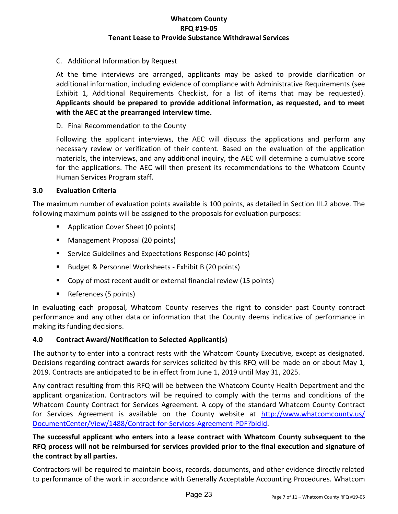#### C. Additional Information by Request

At the time interviews are arranged, applicants may be asked to provide clarification or additional information, including evidence of compliance with Administrative Requirements (see Exhibit 1, Additional Requirements Checklist, for a list of items that may be requested). **Applicants should be prepared to provide additional information, as requested, and to meet with the AEC at the prearranged interview time.** 

#### D. Final Recommendation to the County

Following the applicant interviews, the AEC will discuss the applications and perform any necessary review or verification of their content. Based on the evaluation of the application materials, the interviews, and any additional inquiry, the AEC will determine a cumulative score for the applications. The AEC will then present its recommendations to the Whatcom County Human Services Program staff.

#### <span id="page-8-0"></span>**3.0 Evaluation Criteria**

The maximum number of evaluation points available is 100 points, as detailed in Section III.2 above. The following maximum points will be assigned to the proposals for evaluation purposes:

- **Application Cover Sheet (0 points)**
- **Management Proposal (20 points)**
- **Service Guidelines and Expectations Response (40 points)**
- Budget & Personnel Worksheets Exhibit B (20 points)
- Copy of most recent audit or external financial review (15 points)
- References (5 points)

In evaluating each proposal, Whatcom County reserves the right to consider past County contract performance and any other data or information that the County deems indicative of performance in making its funding decisions.

#### <span id="page-8-1"></span>**4.0 Contract Award/Notification to Selected Applicant(s)**

The authority to enter into a contract rests with the Whatcom County Executive, except as designated. Decisions regarding contract awards for services solicited by this RFQ will be made on or about May 1, 2019. Contracts are anticipated to be in effect from June 1, 2019 until May 31, 2025.

Any contract resulting from this RFQ will be between the Whatcom County Health Department and the applicant organization. Contractors will be required to comply with the terms and conditions of the Whatcom County Contract for Services Agreement. A copy of the standard Whatcom County Contract for Services Agreement is available on the County website at [http://www.whatcomcounty.us/](http://www.whatcomcounty.us/DocumentCenter/View/1488/Contract-for-Services-Agreement-PDF?bidId) [DocumentCenter/View/1488/Contract-for-Services-Agreement-PDF?bidId.](http://www.whatcomcounty.us/DocumentCenter/View/1488/Contract-for-Services-Agreement-PDF?bidId)

**The successful applicant who enters into a lease contract with Whatcom County subsequent to the RFQ process will not be reimbursed for services provided prior to the final execution and signature of the contract by all parties.** 

Contractors will be required to maintain books, records, documents, and other evidence directly related to performance of the work in accordance with Generally Acceptable Accounting Procedures. Whatcom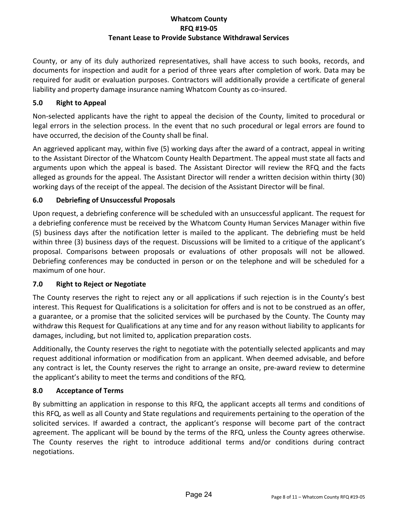County, or any of its duly authorized representatives, shall have access to such books, records, and documents for inspection and audit for a period of three years after completion of work. Data may be required for audit or evaluation purposes. Contractors will additionally provide a certificate of general liability and property damage insurance naming Whatcom County as co-insured.

## <span id="page-9-0"></span>**5.0 Right to Appeal**

Non-selected applicants have the right to appeal the decision of the County, limited to procedural or legal errors in the selection process. In the event that no such procedural or legal errors are found to have occurred, the decision of the County shall be final.

An aggrieved applicant may, within five (5) working days after the award of a contract, appeal in writing to the Assistant Director of the Whatcom County Health Department. The appeal must state all facts and arguments upon which the appeal is based. The Assistant Director will review the RFQ and the facts alleged as grounds for the appeal. The Assistant Director will render a written decision within thirty (30) working days of the receipt of the appeal. The decision of the Assistant Director will be final.

## <span id="page-9-1"></span>**6.0 Debriefing of Unsuccessful Proposals**

Upon request, a debriefing conference will be scheduled with an unsuccessful applicant. The request for a debriefing conference must be received by the Whatcom County Human Services Manager within five (5) business days after the notification letter is mailed to the applicant. The debriefing must be held within three (3) business days of the request. Discussions will be limited to a critique of the applicant's proposal. Comparisons between proposals or evaluations of other proposals will not be allowed. Debriefing conferences may be conducted in person or on the telephone and will be scheduled for a maximum of one hour.

## <span id="page-9-2"></span>**7.0 Right to Reject or Negotiate**

The County reserves the right to reject any or all applications if such rejection is in the County's best interest. This Request for Qualifications is a solicitation for offers and is not to be construed as an offer, a guarantee, or a promise that the solicited services will be purchased by the County. The County may withdraw this Request for Qualifications at any time and for any reason without liability to applicants for damages, including, but not limited to, application preparation costs.

Additionally, the County reserves the right to negotiate with the potentially selected applicants and may request additional information or modification from an applicant. When deemed advisable, and before any contract is let, the County reserves the right to arrange an onsite, pre-award review to determine the applicant's ability to meet the terms and conditions of the RFQ.

## <span id="page-9-3"></span>**8.0 Acceptance of Terms**

By submitting an application in response to this RFQ, the applicant accepts all terms and conditions of this RFQ, as well as all County and State regulations and requirements pertaining to the operation of the solicited services. If awarded a contract, the applicant's response will become part of the contract agreement. The applicant will be bound by the terms of the RFQ, unless the County agrees otherwise. The County reserves the right to introduce additional terms and/or conditions during contract negotiations.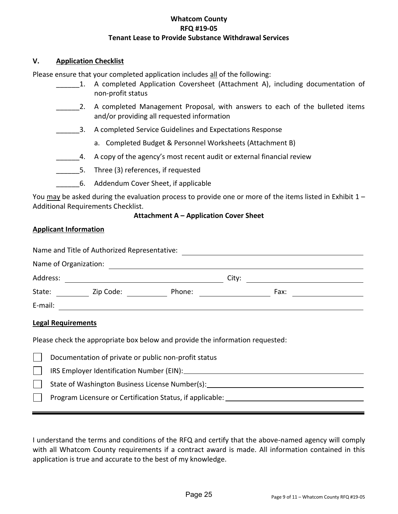#### <span id="page-10-0"></span>**V. Application Checklist**

Please ensure that your completed application includes all of the following:

- 1. A completed Application Coversheet (Attachment A), including documentation of non-profit status
- 2. A completed Management Proposal, with answers to each of the bulleted items and/or providing all requested information
- \_\_\_\_\_\_3. A completed Service Guidelines and Expectations Response
	- a. Completed Budget & Personnel Worksheets (Attachment B)
- **4.** A copy of the agency's most recent audit or external financial review
- \_\_\_\_\_\_5. Three (3) references, if requested
- \_\_\_\_\_\_6. Addendum Cover Sheet, if applicable

You may be asked during the evaluation process to provide one or more of the items listed in Exhibit 1 – Additional Requirements Checklist.

#### **Attachment A – Application Cover Sheet**

#### <span id="page-10-1"></span>**Applicant Information**

| Name and Title of Authorized Representative: |                       |        |       |      |  |
|----------------------------------------------|-----------------------|--------|-------|------|--|
|                                              | Name of Organization: |        |       |      |  |
| Address:                                     |                       |        | City: |      |  |
| State:                                       | Zip Code:             | Phone: |       | Fax: |  |
| E-mail:                                      |                       |        |       |      |  |

#### **Legal Requirements**

Please check the appropriate box below and provide the information requested:

| Documentation of private or public non-profit status      |
|-----------------------------------------------------------|
| IRS Employer Identification Number (EIN): __________      |
| State of Washington Business License Number(s):           |
| Program Licensure or Certification Status, if applicable: |
|                                                           |

I understand the terms and conditions of the RFQ and certify that the above-named agency will comply with all Whatcom County requirements if a contract award is made. All information contained in this application is true and accurate to the best of my knowledge.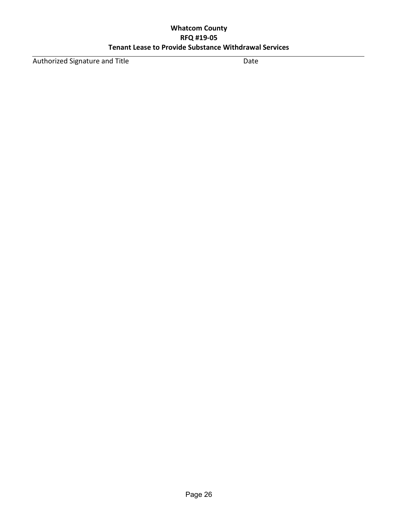Authorized Signature and Title Date